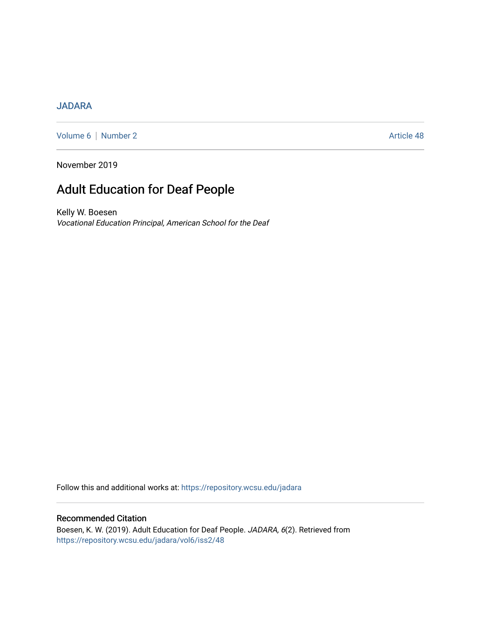## [JADARA](https://repository.wcsu.edu/jadara)

[Volume 6](https://repository.wcsu.edu/jadara/vol6) | [Number 2](https://repository.wcsu.edu/jadara/vol6/iss2) Article 48

November 2019

# Adult Education for Deaf People

Kelly W. Boesen Vocational Education Principal, American School for the Deaf

Follow this and additional works at: [https://repository.wcsu.edu/jadara](https://repository.wcsu.edu/jadara?utm_source=repository.wcsu.edu%2Fjadara%2Fvol6%2Fiss2%2F48&utm_medium=PDF&utm_campaign=PDFCoverPages)

### Recommended Citation

Boesen, K. W. (2019). Adult Education for Deaf People. JADARA, 6(2). Retrieved from [https://repository.wcsu.edu/jadara/vol6/iss2/48](https://repository.wcsu.edu/jadara/vol6/iss2/48?utm_source=repository.wcsu.edu%2Fjadara%2Fvol6%2Fiss2%2F48&utm_medium=PDF&utm_campaign=PDFCoverPages)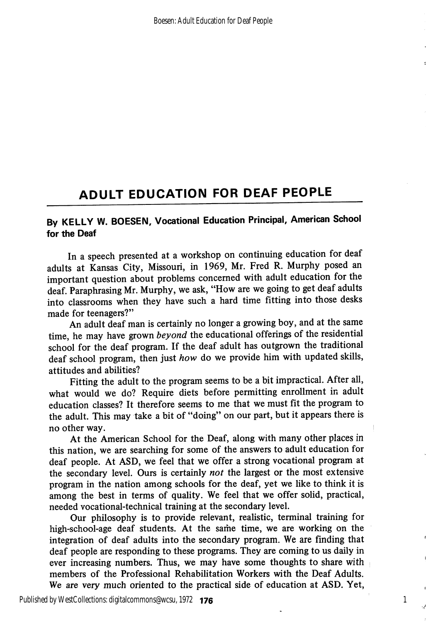# ADULT EDUCATION FOR DEAF PEOPLE

# By KELLY W. BOESEN, Vocational Education Principal, American School for the Deaf

In a speech presented at a workshop on continuing education for deaf adults at Kansas City, Missouri, in 1969, Mr. Fred R. Murphy posed an important question about problems concerned with adult education for the deaf. Paraphrasing Mr. Murphy, we ask, "How are we going to get deaf adults" into classrooms when they have such a hard time fitting into those desks made for teenagers?"

An adult deaf man is certainly no longer a growing boy, and at the same time, he may have grown beyond the educational offerings of the residential school for the deaf program. If the deaf adult has outgrown the traditional deaf school program, then just how do we provide him with updated skills, attitudes and abilities?

Fitting the adult to the program seems to be a bit impractical. After all, what would we do? Require diets before permitting enrollment in adult education classes? It therefore seems to me that we must fit the program to the adult. This may take a bit of "doing" on our part, but it appears there is no other way.

At the American School for the Deaf, along with many other places in this nation, we are searching for some of the answers to adult education for deaf people. At ASD, we feel that we offer a strong vocational program at the secondary level. Ours is certainly not the largest or the most extensive program in the nation among schools for the deaf, yet we like to think it is among the best in terms of quality. We feel that we offer solid, practical, needed vocational-technical training at the secondary level.

Our philosophy is to provide relevant, realistic, terminal training for high-school-age deaf students. At the same time, we are working on the integration of deaf adults into the secondary program. We are finding that deaf people are responding to these programs. They are coming to us daily in ever increasing numbers. Thus, we may have some thoughts to share with members of the Professional Rehabilitation Workers with the Deaf Adults. We are very much oriented to the practical side of education at ASD. Yet,

**176** 1 Published by WestCollections: digitalcommons@wcsu, 1972 **176**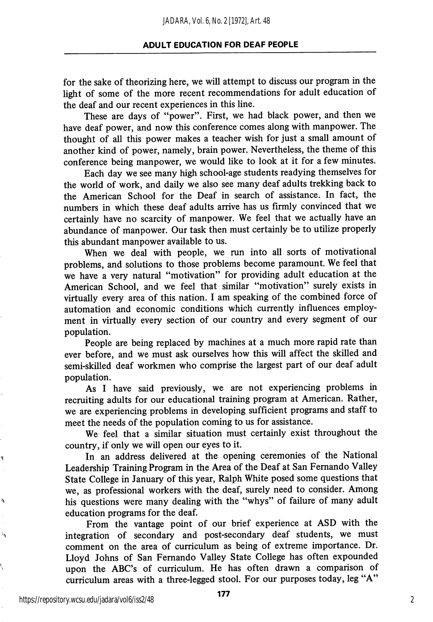### ADULT EDUCATION FOR DEAF PEOPLE

for the sake of theorizing here, we will attempt to discuss our program in the light of some of the more recent recommendations for adult education of the deaf and our recent experiences in this line.

These are days of "power". First, we had black power, and then we have deaf power, and now this conference comes along with manpower. The thought of all this power makes a teacher wish for just a small amount of another kind of power, namely, brain power. Nevertheless, the theme of this conference being manpower, we would like to look at it for a few minutes.

Each day we see many high school-age students readying themselves for the world of work, and daily we also see many deaf adults trekking back to the American School for the Deaf in search of assistance. In fact, the numbers in which these deaf adults arrive has us firmly convinced that we certainly have no scarcity of manpower. We feel that we actually have an abundance of manpower. Our task then must certainly be to utilize properly this abundant manpower available to us.

When we deal with people, we run into all sorts of motivational problems, and solutions to those problems become paramount. We feel that we have a very natural "motivation" for providing adult education at the American School, and we feel that similar "motivation" surely exists in virtually every area of this nation. I am speaking of the combined force of automation and economic conditions which currently influences employ ment in virtually every section of our country and every segment of our population.

People are being replaced by machines at a much more rapid rate than ever before, and we must ask ourselves how this will affect the skilled and semi-skilled deaf workmen who comprise the largest part of our deaf adult population.

As I have said previously, we are not experiencing problems in recruiting adults for our educational training program at American. Rather, we are experiencing problems in developing sufficient programs and staff to meet the needs of the population coming to us for assistance.

We feel that a similar situation must certainly exist throughout the country, if only we will open our eyes to it.

In an address delivered at the opening ceremonies of the National Leadership Training Program in the Area of the Deaf at San Fernando Valley State College in January of this year, Ralph White posed some questions that we, as professional workers with the deaf, surely need to consider. Among his questions were many dealing with the "whys" of failure of many adult education programs for the deaf.

From the vantage point of our brief experience at ASD with the integration of secondary and post-secondary deaf students, we must comment on the area of curriculum as being of extreme importance. Dr. Lloyd Johns of San Fernando Valley State College has often expounded upon the ABC's of curriculum. He has often drawn a comparison of curriculum areas with a three-legged stool. For our purposes today, leg "A"

https://repository.wcsu.edu/jadara/vol6/iss2/48

Ŋ

ð

े.

2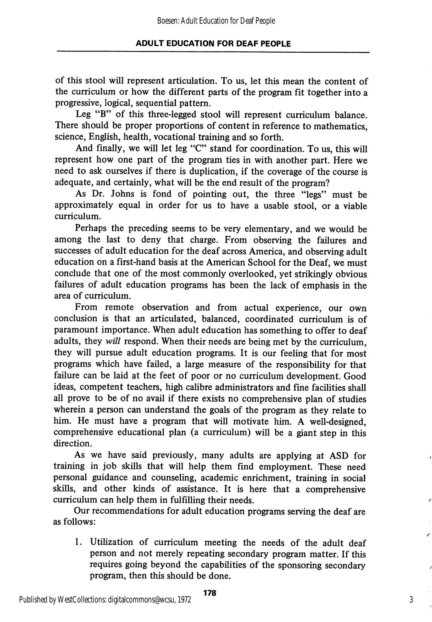of this stool will represent articulation. To us, let this mean the content of the curriculum or how the different parts of the program fit together into a progressive, logical, sequential pattern.

Leg "B" of this three-legged stool will represent curriculum balance. There should be proper proportions of content in reference to mathematics, science, English, health, vocational training and so forth.

And finally, we will let leg "C" stand for coordination. To us, this will represent how one part of the program ties in with another part. Here we need to ask ourselves if there is duplication, if the coverage of the course is adequate, and certainly, what will be the end result of the program?

As Dr. Johns is fond of pointing out, the three "legs" must be approximately equal in order for us to have a usable stool, or a viable curriculum.

Perhaps the preceding seems to be very elementary, and we would be among the last to deny that charge. From observing the failures and successes of adult education for the deaf across America, and observing adult education on a first-hand basis at the American School for the Deaf, we must conclude that one of the most commonly overlooked, yet strikingly obvious failures of adult education programs has been the lack of emphasis in the area of curriculum.

From remote observation and from actual experience, our own conclusion is that an articulated, balanced, coordinated curriculum is of paramount importance. When adult education has something to offer to deaf adults, they will respond. When their needs are being met by the curriculum, they will pursue adult education programs. It is our feeling that for most programs which have failed, a large measure of the responsibility for that failure can be laid at the feet of poor or no curriculum development. Good ideas, competent teachers, high calibre administrators and fine facilities shall all prove to be of no avail if there exists no comprehensive plan of studies wherein a person can understand the goals of the program as they relate to him. He must have a program that will motivate him. A well-designed, comprehensive educational plan (a curriculum) will be a giant step in this direction.

As we have said previously, many adults are applying at ASD for training in job skills that will help them find employment. These need personal guidance and counseling, academic enrichment, training in social skills, and other kinds of assistance. It is here that a comprehensive curriculum can help them in fulfilling their needs.

Our recommendations for adult education programs serving the deaf are as follows:

1. Utilization of curriculum meeting the needs of the adult deaf person and not merely repeating secondary program matter. If this requires going beyond the capabilities of the sponsoring secondary program, then this should be done.

3